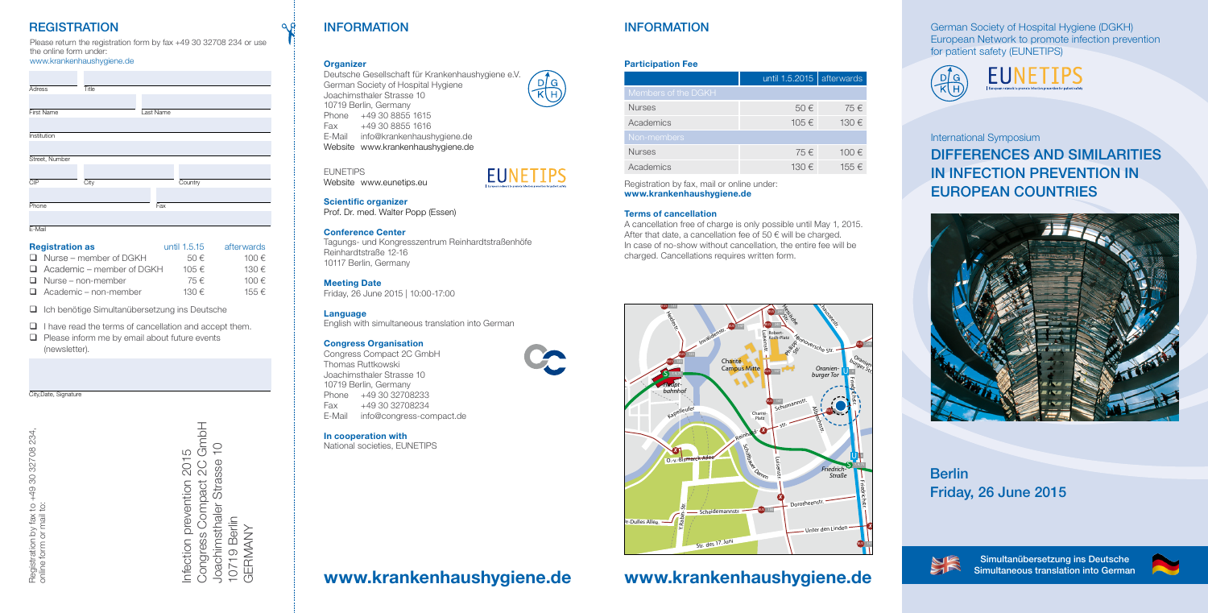German Society of Hospital Hygiene (DGKH) European Network to promote infection prevention for patient safety (EUNETIPS)





City,Date, Signature

Registration by fax to +49 30 32708 234, 30 32708 234,  $+49:$ y fax to<br>mail to: online form or mail to: Registration by fa<br>online form or ma

# Infection prevention 2015<br>Congress Compact 2C GmbH<br>Joachimsthaler Strasse 10<br>10719 Berlin<br>GERMANY Congress Compact 2C GmbH Joachimsthaler Strasse 10 Infection prevention 2015 10719 Berlin GERMANY

# **REGISTRATION**

Please return the registration form by fax +49 30 32708 234 or use the online form under:

# www.krankenhaushygiene.de

- **□** Ich benötige Simultanübersetzung ins Deutsche
- $\Box$  I have read the terms of cancellation and accept them.
- $\Box$  Please inform me by email about future events (newsletter).

| Adress           | Title |           |  |
|------------------|-------|-----------|--|
| First Name       |       | Last Name |  |
|                  |       |           |  |
| Institution      |       |           |  |
| Street, Number   |       |           |  |
| $\overline{CIP}$ | City  | Country   |  |
| Phone            |       | Fax       |  |
| F-Mail           |       |           |  |

| <b>Registration as</b>           | until 1.5.15 | afterwards     |
|----------------------------------|--------------|----------------|
| $\Box$ Nurse – member of DGKH    | $50 \in$     | 100 $\epsilon$ |
| $\Box$ Academic – member of DGKH | $105 \in$    | $130 \in$      |
| $\Box$ Nurse – non-member        | 75 €         | 100 $\epsilon$ |
| $\Box$ Academic – non-member     | $130 \in$    | 155 €          |

# INFORMATION

# **Organizer**

Deutsche Gesellschaft für Krankenhaushygiene e.V.  $D/G$ German Society of Hospital Hygiene Joachimsthaler Strasse 10 10719 Berlin, Germany Phone +49 30 8855 1615 Fax +49 30 8855 1616 E-Mail info@krankenhaushygiene.de Website www.krankenhaushygiene.de

# EUNETIPS

Website www.eunetips.eu



## Scientific organizer

Prof. Dr. med. Walter Popp (Essen)

# Conference Center

Tagungs- und Kongresszentrum Reinhardtstraßenhöfe Reinhardtstraße 12-16 10117 Berlin, Germany

# Meeting Date

Friday, 26 June 2015 | 10:00-17:00

#### Language

English with simultaneous translation into German

## Congress Organisation

Congress Compact 2C GmbH Thomas Ruttkowski Joachimsthaler Strasse 10 10719 Berlin, Germany Phone +49 30 32708233 Fax +49 30 32708234 E-Mail info@congress-compact.de

# In cooperation with

National societies, EUNETIPS

# International Symposium

# DIFFERENCES AND SIMILARITIES IN INFECTION PREVENTION IN EUROPEAN COUNTRIES



# Berlin Friday, 26 June 2015



# INFORMATION

# Participation Fee

|                     | until 1.5.2015 | afterwards |
|---------------------|----------------|------------|
| Members of the DGKH |                |            |
| <b>Nurses</b>       | 50€            | 75€        |
| Academics           | 105€           | 130€       |
| Non-members         |                |            |
| <b>Nurses</b>       | 75€            | 100€       |
| Academics           | 130€           | 155€       |

Registration by fax, mail or online under:

# www.krankenhaushygiene.de

#### Terms of cancellation

A cancellation free of charge is only possible until May 1, 2015. After that date, a cancellation fee of 50  $\epsilon$  will be charged. In case of no-show without cancellation, the entire fee will be charged. Cancellations requires written form.

# www.krankenhaushygiene.de www.krankenhaushygiene.de

Simultanübersetzung ins Deutsche Simultaneous translation into German